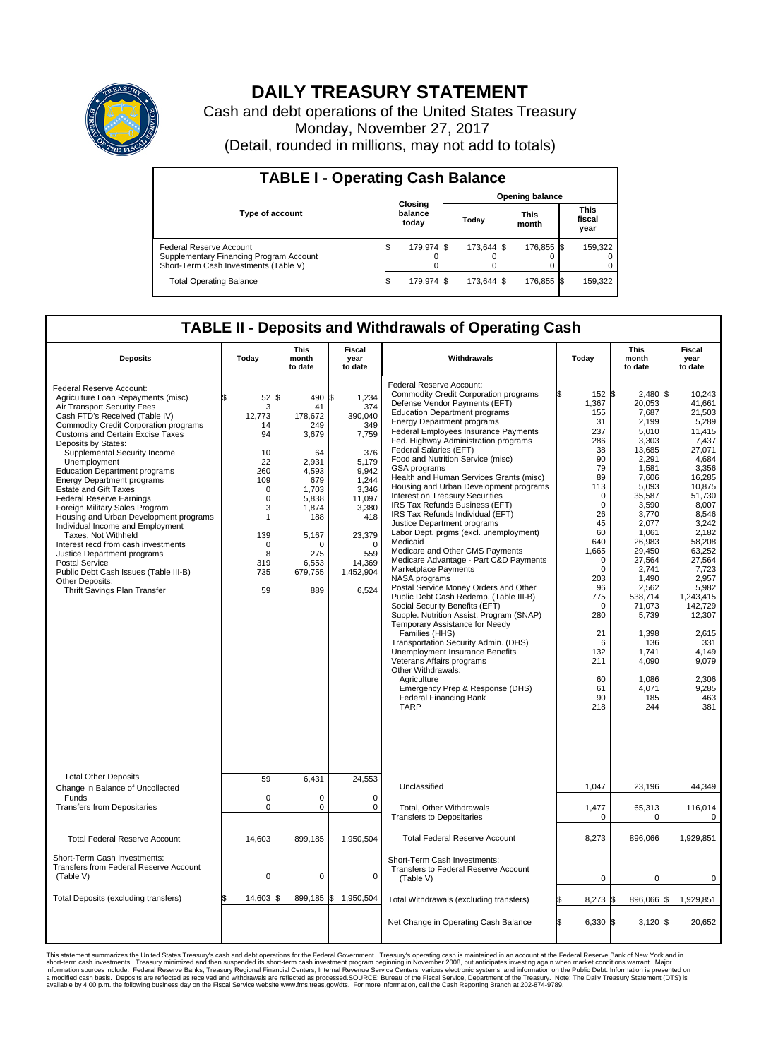

## **DAILY TREASURY STATEMENT**

Cash and debt operations of the United States Treasury Monday, November 27, 2017 (Detail, rounded in millions, may not add to totals)

| <b>TABLE I - Operating Cash Balance</b>                                                                     |    |                             |  |                        |  |                      |  |                               |  |  |  |
|-------------------------------------------------------------------------------------------------------------|----|-----------------------------|--|------------------------|--|----------------------|--|-------------------------------|--|--|--|
|                                                                                                             |    |                             |  | <b>Opening balance</b> |  |                      |  |                               |  |  |  |
| <b>Type of account</b>                                                                                      |    | Closing<br>balance<br>today |  | Today                  |  | <b>This</b><br>month |  | <b>This</b><br>fiscal<br>year |  |  |  |
| Federal Reserve Account<br>Supplementary Financing Program Account<br>Short-Term Cash Investments (Table V) |    | 179,974 \$                  |  | 173.644 \$             |  | 176,855 \$           |  | 159,322                       |  |  |  |
| <b>Total Operating Balance</b>                                                                              | IЭ | 179,974 \$                  |  | 173.644 \$             |  | 176,855 \$           |  | 159,322                       |  |  |  |

## **TABLE II - Deposits and Withdrawals of Operating Cash**

| <b>Deposits</b>                                                                                                                                                                                                                                                                                                                                                                                                                                                                                                                                                                                                                                                                                                                                                              | Today                                                                                                                                          | <b>This</b><br>month<br>to date                                                                                                                                     | <b>Fiscal</b><br>year<br>to date                                                                                                                                                   | Withdrawals                                                                                                                                                                                                                                                                                                                                                                                                                                                                                                                                                                                                                                                                                                                                                                                                                                                                                                                                                                                                                                                                                                                                                                                                                | Today                                                                                                                                                                                                                                                     | <b>This</b><br>month<br>to date                                                                                                                                                                                                                                                                               | <b>Fiscal</b><br>year<br>to date                                                                                                                                                                                                                                                                                  |
|------------------------------------------------------------------------------------------------------------------------------------------------------------------------------------------------------------------------------------------------------------------------------------------------------------------------------------------------------------------------------------------------------------------------------------------------------------------------------------------------------------------------------------------------------------------------------------------------------------------------------------------------------------------------------------------------------------------------------------------------------------------------------|------------------------------------------------------------------------------------------------------------------------------------------------|---------------------------------------------------------------------------------------------------------------------------------------------------------------------|------------------------------------------------------------------------------------------------------------------------------------------------------------------------------------|----------------------------------------------------------------------------------------------------------------------------------------------------------------------------------------------------------------------------------------------------------------------------------------------------------------------------------------------------------------------------------------------------------------------------------------------------------------------------------------------------------------------------------------------------------------------------------------------------------------------------------------------------------------------------------------------------------------------------------------------------------------------------------------------------------------------------------------------------------------------------------------------------------------------------------------------------------------------------------------------------------------------------------------------------------------------------------------------------------------------------------------------------------------------------------------------------------------------------|-----------------------------------------------------------------------------------------------------------------------------------------------------------------------------------------------------------------------------------------------------------|---------------------------------------------------------------------------------------------------------------------------------------------------------------------------------------------------------------------------------------------------------------------------------------------------------------|-------------------------------------------------------------------------------------------------------------------------------------------------------------------------------------------------------------------------------------------------------------------------------------------------------------------|
| Federal Reserve Account:<br>Agriculture Loan Repayments (misc)<br>Air Transport Security Fees<br>Cash FTD's Received (Table IV)<br><b>Commodity Credit Corporation programs</b><br>Customs and Certain Excise Taxes<br>Deposits by States:<br>Supplemental Security Income<br>Unemployment<br><b>Education Department programs</b><br><b>Energy Department programs</b><br><b>Estate and Gift Taxes</b><br><b>Federal Reserve Earnings</b><br>Foreign Military Sales Program<br>Housing and Urban Development programs<br>Individual Income and Employment<br>Taxes, Not Withheld<br>Interest recd from cash investments<br>Justice Department programs<br><b>Postal Service</b><br>Public Debt Cash Issues (Table III-B)<br>Other Deposits:<br>Thrift Savings Plan Transfer | 52<br>3<br>12,773<br>14<br>94<br>10<br>22<br>260<br>109<br>$\mathbf 0$<br>$\mathbf 0$<br>3<br>1<br>139<br>$\mathbf 0$<br>8<br>319<br>735<br>59 | l\$<br>490<br>41<br>178,672<br>249<br>3,679<br>64<br>2,931<br>4.593<br>679<br>1,703<br>5.838<br>1,874<br>188<br>5,167<br>$\Omega$<br>275<br>6,553<br>679,755<br>889 | \$<br>1,234<br>374<br>390,040<br>349<br>7,759<br>376<br>5,179<br>9.942<br>1,244<br>3,346<br>11.097<br>3,380<br>418<br>23,379<br>$\mathbf 0$<br>559<br>14,369<br>1,452,904<br>6,524 | Federal Reserve Account:<br><b>Commodity Credit Corporation programs</b><br>Defense Vendor Payments (EFT)<br><b>Education Department programs</b><br><b>Energy Department programs</b><br>Federal Employees Insurance Payments<br>Fed. Highway Administration programs<br>Federal Salaries (EFT)<br>Food and Nutrition Service (misc)<br><b>GSA</b> programs<br>Health and Human Services Grants (misc)<br>Housing and Urban Development programs<br>Interest on Treasury Securities<br>IRS Tax Refunds Business (EFT)<br>IRS Tax Refunds Individual (EFT)<br>Justice Department programs<br>Labor Dept. prgms (excl. unemployment)<br>Medicaid<br>Medicare and Other CMS Payments<br>Medicare Advantage - Part C&D Payments<br>Marketplace Payments<br>NASA programs<br>Postal Service Money Orders and Other<br>Public Debt Cash Redemp. (Table III-B)<br>Social Security Benefits (EFT)<br>Supple. Nutrition Assist. Program (SNAP)<br>Temporary Assistance for Needy<br>Families (HHS)<br>Transportation Security Admin. (DHS)<br>Unemployment Insurance Benefits<br>Veterans Affairs programs<br>Other Withdrawals:<br>Agriculture<br>Emergency Prep & Response (DHS)<br><b>Federal Financing Bank</b><br><b>TARP</b> | 152 \$<br>1,367<br>155<br>31<br>237<br>286<br>38<br>90<br>79<br>89<br>113<br>$\mathbf 0$<br>$\mathbf 0$<br>26<br>45<br>60<br>640<br>1,665<br>$\mathbf 0$<br>0<br>203<br>96<br>775<br>$\mathbf 0$<br>280<br>21<br>6<br>132<br>211<br>60<br>61<br>90<br>218 | $2,480$ \$<br>20,053<br>7,687<br>2.199<br>5,010<br>3,303<br>13,685<br>2,291<br>1,581<br>7,606<br>5,093<br>35,587<br>3,590<br>3,770<br>2.077<br>1,061<br>26,983<br>29,450<br>27,564<br>2,741<br>1,490<br>2,562<br>538,714<br>71,073<br>5,739<br>1,398<br>136<br>1,741<br>4,090<br>1,086<br>4,071<br>185<br>244 | 10.243<br>41,661<br>21,503<br>5.289<br>11,415<br>7,437<br>27,071<br>4,684<br>3,356<br>16,285<br>10,875<br>51,730<br>8.007<br>8,546<br>3,242<br>2,182<br>58,208<br>63,252<br>27.564<br>7,723<br>2,957<br>5,982<br>1,243,415<br>142,729<br>12,307<br>2,615<br>331<br>4.149<br>9,079<br>2.306<br>9,285<br>463<br>381 |
| <b>Total Other Deposits</b><br>Change in Balance of Uncollected                                                                                                                                                                                                                                                                                                                                                                                                                                                                                                                                                                                                                                                                                                              | 59                                                                                                                                             | 6,431                                                                                                                                                               | 24,553                                                                                                                                                                             | Unclassified                                                                                                                                                                                                                                                                                                                                                                                                                                                                                                                                                                                                                                                                                                                                                                                                                                                                                                                                                                                                                                                                                                                                                                                                               | 1,047                                                                                                                                                                                                                                                     | 23,196                                                                                                                                                                                                                                                                                                        | 44,349                                                                                                                                                                                                                                                                                                            |
| Funds<br><b>Transfers from Depositaries</b>                                                                                                                                                                                                                                                                                                                                                                                                                                                                                                                                                                                                                                                                                                                                  | $\mathbf 0$<br>0                                                                                                                               | 0<br>0                                                                                                                                                              | $\mathbf 0$<br>0                                                                                                                                                                   | <b>Total, Other Withdrawals</b><br><b>Transfers to Depositaries</b>                                                                                                                                                                                                                                                                                                                                                                                                                                                                                                                                                                                                                                                                                                                                                                                                                                                                                                                                                                                                                                                                                                                                                        | 1,477<br>$\pmb{0}$                                                                                                                                                                                                                                        | 65,313<br>$\mathbf 0$                                                                                                                                                                                                                                                                                         | 116,014<br>0                                                                                                                                                                                                                                                                                                      |
| <b>Total Federal Reserve Account</b>                                                                                                                                                                                                                                                                                                                                                                                                                                                                                                                                                                                                                                                                                                                                         | 14.603                                                                                                                                         | 899.185                                                                                                                                                             | 1,950,504                                                                                                                                                                          | <b>Total Federal Reserve Account</b>                                                                                                                                                                                                                                                                                                                                                                                                                                                                                                                                                                                                                                                                                                                                                                                                                                                                                                                                                                                                                                                                                                                                                                                       | 8,273                                                                                                                                                                                                                                                     | 896.066                                                                                                                                                                                                                                                                                                       | 1,929,851                                                                                                                                                                                                                                                                                                         |
| Short-Term Cash Investments:<br><b>Transfers from Federal Reserve Account</b><br>(Table V)                                                                                                                                                                                                                                                                                                                                                                                                                                                                                                                                                                                                                                                                                   | 0                                                                                                                                              | 0                                                                                                                                                                   | 0                                                                                                                                                                                  | Short-Term Cash Investments:<br>Transfers to Federal Reserve Account<br>(Table V)                                                                                                                                                                                                                                                                                                                                                                                                                                                                                                                                                                                                                                                                                                                                                                                                                                                                                                                                                                                                                                                                                                                                          | $\mathbf 0$                                                                                                                                                                                                                                               | 0                                                                                                                                                                                                                                                                                                             | 0                                                                                                                                                                                                                                                                                                                 |
| Total Deposits (excluding transfers)                                                                                                                                                                                                                                                                                                                                                                                                                                                                                                                                                                                                                                                                                                                                         | 14,603                                                                                                                                         | 899,185 \$<br>\$                                                                                                                                                    | 1,950,504                                                                                                                                                                          | Total Withdrawals (excluding transfers)                                                                                                                                                                                                                                                                                                                                                                                                                                                                                                                                                                                                                                                                                                                                                                                                                                                                                                                                                                                                                                                                                                                                                                                    | $8,273$ \$                                                                                                                                                                                                                                                | 896,066 \$                                                                                                                                                                                                                                                                                                    | 1,929,851                                                                                                                                                                                                                                                                                                         |
|                                                                                                                                                                                                                                                                                                                                                                                                                                                                                                                                                                                                                                                                                                                                                                              |                                                                                                                                                |                                                                                                                                                                     |                                                                                                                                                                                    | Net Change in Operating Cash Balance                                                                                                                                                                                                                                                                                                                                                                                                                                                                                                                                                                                                                                                                                                                                                                                                                                                                                                                                                                                                                                                                                                                                                                                       | Ŝ.<br>$6,330$ \$                                                                                                                                                                                                                                          | $3,120$ \$                                                                                                                                                                                                                                                                                                    | 20,652                                                                                                                                                                                                                                                                                                            |

This statement summarizes the United States Treasury's cash and debt operations for the Federal Government. Treasury soperating in November 2008, but anticiarde in a cocount at the Federal Reserve Bank of New York and in<br>s